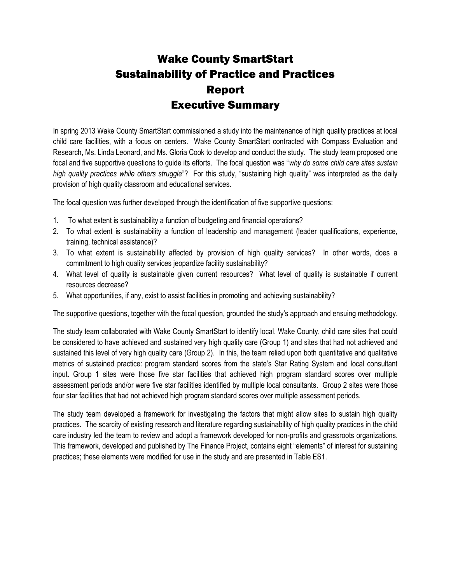## Wake County SmartStart Sustainability of Practice and Practices Report Executive Summary

In spring 2013 Wake County SmartStart commissioned a study into the maintenance of high quality practices at local child care facilities, with a focus on centers. Wake County SmartStart contracted with Compass Evaluation and Research, Ms. Linda Leonard, and Ms. Gloria Cook to develop and conduct the study. The study team proposed one focal and five supportive questions to guide its efforts. The focal question was "*why do some child care sites sustain high quality practices while others struggle*"? For this study, "sustaining high quality" was interpreted as the daily provision of high quality classroom and educational services.

The focal question was further developed through the identification of five supportive questions:

- 1. To what extent is sustainability a function of budgeting and financial operations?
- 2. To what extent is sustainability a function of leadership and management (leader qualifications, experience, training, technical assistance)?
- 3. To what extent is sustainability affected by provision of high quality services? In other words, does a commitment to high quality services jeopardize facility sustainability?
- 4. What level of quality is sustainable given current resources? What level of quality is sustainable if current resources decrease?
- 5. What opportunities, if any, exist to assist facilities in promoting and achieving sustainability?

The supportive questions, together with the focal question, grounded the study's approach and ensuing methodology.

The study team collaborated with Wake County SmartStart to identify local, Wake County, child care sites that could be considered to have achieved and sustained very high quality care (Group 1) and sites that had not achieved and sustained this level of very high quality care (Group 2).In this, the team relied upon both quantitative and qualitative metrics of sustained practice: program standard scores from the state's Star Rating System and local consultant input**.** Group 1 sites were those five star facilities that achieved high program standard scores over multiple assessment periods and/or were five star facilities identified by multiple local consultants. Group 2 sites were those four star facilities that had not achieved high program standard scores over multiple assessment periods.

The study team developed a framework for investigating the factors that might allow sites to sustain high quality practices. The scarcity of existing research and literature regarding sustainability of high quality practices in the child care industry led the team to review and adopt a framework developed for non-profits and grassroots organizations. This framework, developed and published by The Finance Project, contains eight "elements" of interest for sustaining practices; these elements were modified for use in the study and are presented in Table ES1.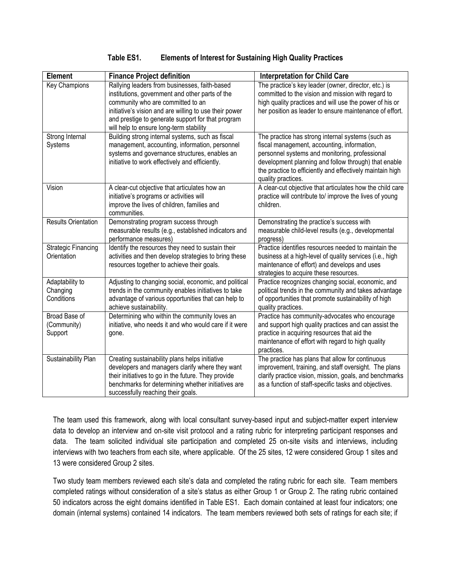| <b>Element</b>                            | <b>Finance Project definition</b>                                                                                                                                                                                                                                                               | <b>Interpretation for Child Care</b>                                                                                                                                                                                                                                                          |
|-------------------------------------------|-------------------------------------------------------------------------------------------------------------------------------------------------------------------------------------------------------------------------------------------------------------------------------------------------|-----------------------------------------------------------------------------------------------------------------------------------------------------------------------------------------------------------------------------------------------------------------------------------------------|
| <b>Key Champions</b>                      | Rallying leaders from businesses, faith-based<br>institutions, government and other parts of the<br>community who are committed to an<br>initiative's vision and are willing to use their power<br>and prestige to generate support for that program<br>will help to ensure long-term stability | The practice's key leader (owner, director, etc.) is<br>committed to the vision and mission with regard to<br>high quality practices and will use the power of his or<br>her position as leader to ensure maintenance of effort.                                                              |
| Strong Internal<br>Systems                | Building strong internal systems, such as fiscal<br>management, accounting, information, personnel<br>systems and governance structures, enables an<br>initiative to work effectively and efficiently.                                                                                          | The practice has strong internal systems (such as<br>fiscal management, accounting, information,<br>personnel systems and monitoring, professional<br>development planning and follow through) that enable<br>the practice to efficiently and effectively maintain high<br>quality practices. |
| Vision                                    | A clear-cut objective that articulates how an<br>initiative's programs or activities will<br>improve the lives of children, families and<br>communities.                                                                                                                                        | A clear-cut objective that articulates how the child care<br>practice will contribute to/ improve the lives of young<br>children.                                                                                                                                                             |
| <b>Results Orientation</b>                | Demonstrating program success through<br>measurable results (e.g., established indicators and<br>performance measures)                                                                                                                                                                          | Demonstrating the practice's success with<br>measurable child-level results (e.g., developmental<br>progress)                                                                                                                                                                                 |
| <b>Strategic Financing</b><br>Orientation | Identify the resources they need to sustain their<br>activities and then develop strategies to bring these<br>resources together to achieve their goals.                                                                                                                                        | Practice identifies resources needed to maintain the<br>business at a high-level of quality services (i.e., high<br>maintenance of effort) and develops and uses<br>strategies to acquire these resources.                                                                                    |
| Adaptability to<br>Changing<br>Conditions | Adjusting to changing social, economic, and political<br>trends in the community enables initiatives to take<br>advantage of various opportunities that can help to<br>achieve sustainability.                                                                                                  | Practice recognizes changing social, economic, and<br>political trends in the community and takes advantage<br>of opportunities that promote sustainability of high<br>quality practices.                                                                                                     |
| Broad Base of<br>(Community)<br>Support   | Determining who within the community loves an<br>initiative, who needs it and who would care if it were<br>gone.                                                                                                                                                                                | Practice has community-advocates who encourage<br>and support high quality practices and can assist the<br>practice in acquiring resources that aid the<br>maintenance of effort with regard to high quality<br>practices.                                                                    |
| Sustainability Plan                       | Creating sustainability plans helps initiative<br>developers and managers clarify where they want<br>their initiatives to go in the future. They provide<br>benchmarks for determining whether initiatives are<br>successfully reaching their goals.                                            | The practice has plans that allow for continuous<br>improvement, training, and staff oversight. The plans<br>clarify practice vision, mission, goals, and benchmarks<br>as a function of staff-specific tasks and objectives.                                                                 |

## **Table ES1. Elements of Interest for Sustaining High Quality Practices**

The team used this framework, along with local consultant survey-based input and subject-matter expert interview data to develop an interview and on-site visit protocol and a rating rubric for interpreting participant responses and data. The team solicited individual site participation and completed 25 on-site visits and interviews, including interviews with two teachers from each site, where applicable. Of the 25 sites, 12 were considered Group 1 sites and 13 were considered Group 2 sites.

Two study team members reviewed each site's data and completed the rating rubric for each site. Team members completed ratings without consideration of a site's status as either Group 1 or Group 2. The rating rubric contained 50 indicators across the eight domains identified in Table ES1. Each domain contained at least four indicators; one domain (internal systems) contained 14 indicators. The team members reviewed both sets of ratings for each site; if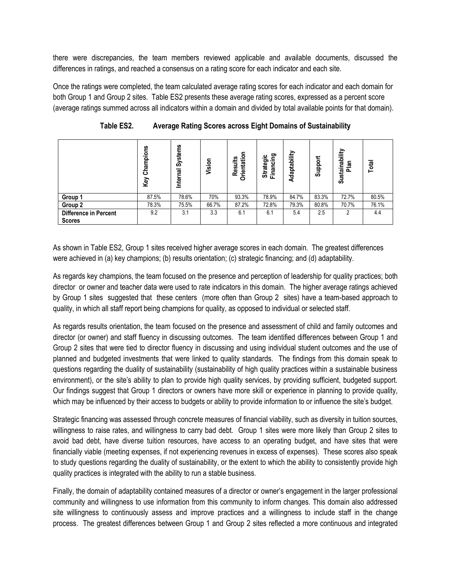there were discrepancies, the team members reviewed applicable and available documents, discussed the differences in ratings, and reached a consensus on a rating score for each indicator and each site.

Once the ratings were completed, the team calculated average rating scores for each indicator and each domain for both Group 1 and Group 2 sites. Table ES2 presents these average rating scores, expressed as a percent score (average ratings summed across all indicators within a domain and divided by total available points for that domain).

|                              | Champions<br>Key | Systems<br>Internal | Vision | <b>Orientatio</b><br><b>Results</b> | ဥ<br>ပ<br>Strategi<br>Financin | Adaptability | Support | Sustainability<br>Plan | Total |
|------------------------------|------------------|---------------------|--------|-------------------------------------|--------------------------------|--------------|---------|------------------------|-------|
| Group 1                      | 87.5%            | 78.6%               | 70%    | 93.3%                               | 78.9%                          | 84.7%        | 83.3%   | 72.7%                  | 80.5% |
| Group 2                      | 78.3%            | 75.5%               | 66.7%  | 87.2%                               | 72.8%                          | 79.3%        | 80.8%   | 70.7%                  | 76.1% |
| <b>Difference in Percent</b> | 9.2              | 3.1                 | 3.3    | 6.1                                 | 6.1                            | 5.4          | 2.5     | 2                      | 4.4   |
| <b>Scores</b>                |                  |                     |        |                                     |                                |              |         |                        |       |

**Table ES2. Average Rating Scores across Eight Domains of Sustainability**

As shown in Table ES2, Group 1 sites received higher average scores in each domain. The greatest differences were achieved in (a) key champions; (b) results orientation; (c) strategic financing; and (d) adaptability.

As regards key champions, the team focused on the presence and perception of leadership for quality practices; both director or owner and teacher data were used to rate indicators in this domain. The higher average ratings achieved by Group 1 sites suggested that these centers (more often than Group 2 sites) have a team-based approach to quality, in which all staff report being champions for quality, as opposed to individual or selected staff.

As regards results orientation, the team focused on the presence and assessment of child and family outcomes and director (or owner) and staff fluency in discussing outcomes. The team identified differences between Group 1 and Group 2 sites that were tied to director fluency in discussing and using individual student outcomes and the use of planned and budgeted investments that were linked to quality standards. The findings from this domain speak to questions regarding the duality of sustainability (sustainability of high quality practices within a sustainable business environment), or the site's ability to plan to provide high quality services, by providing sufficient, budgeted support. Our findings suggest that Group 1 directors or owners have more skill or experience in planning to provide quality, which may be influenced by their access to budgets or ability to provide information to or influence the site's budget.

Strategic financing was assessed through concrete measures of financial viability, such as diversity in tuition sources, willingness to raise rates, and willingness to carry bad debt. Group 1 sites were more likely than Group 2 sites to avoid bad debt, have diverse tuition resources, have access to an operating budget, and have sites that were financially viable (meeting expenses, if not experiencing revenues in excess of expenses). These scores also speak to study questions regarding the duality of sustainability, or the extent to which the ability to consistently provide high quality practices is integrated with the ability to run a stable business*.*

Finally, the domain of adaptability contained measures of a director or owner's engagement in the larger professional community and willingness to use information from this community to inform changes. This domain also addressed site willingness to continuously assess and improve practices and a willingness to include staff in the change process. The greatest differences between Group 1 and Group 2 sites reflected a more continuous and integrated